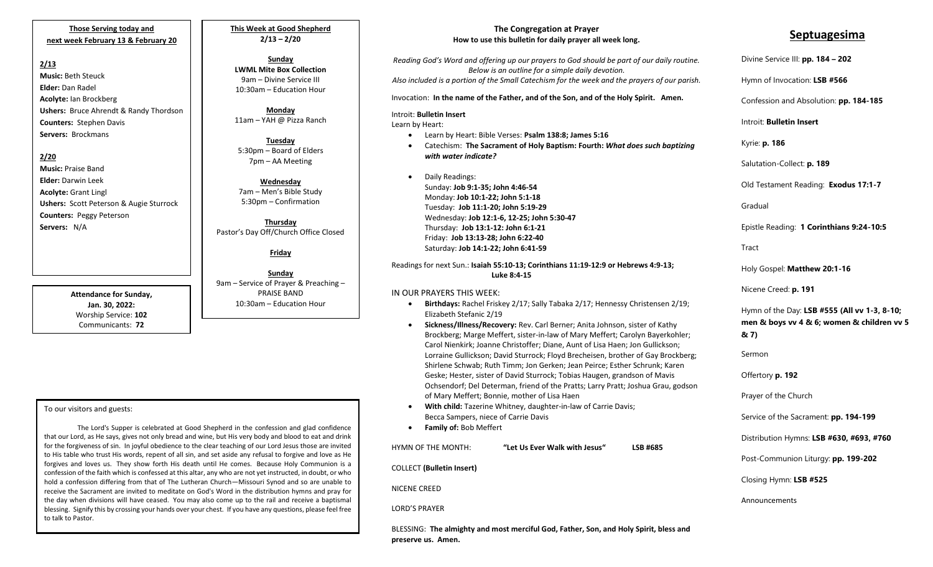**Those Serving today and next week February 13 & February 20**

#### **2/13**

**Music:** Beth Steuck **Elder:** Dan Radel **Acolyte:** Ian Brockberg **Ushers:** Bruce Ahrendt & Randy Thordson **Counters:** Stephen Davis **Servers:** Brockmans

#### **2/20**

**Music:** Praise Band **Elder:** Darwin Leek **Acolyte:** Grant Lingl **Ushers:** Scott Peterson & Augie Sturrock **Counters:** Peggy Peterson **Servers:** N/A

> **Attendance for Sunday, Jan. 30, 2022:** Worship Service: **102** Communicants: **72**

### **This Week at Good Shepherd 2/13 – 2/20**

**Sunday LWML Mite Box Collection** 9am – Divine Service III 10:30am – Education Hour

**Monday** 11am – YAH @ Pizza Ranch

**Tuesday** 5:30pm – Board of Elders 7pm – AA Meeting

**Wednesday** 7am – Men's Bible Study 5:30pm – Confirmation

**Thursday** Pastor's Day Off/Church Office Closed

**Friday**

**Sunday** 9am – Service of Prayer & Preaching – PRAISE BAND 10:30am – Education Hour

#### To our visitors and guests:

the day when divisions win have ceased. Tou may also come up to the rail and receive a baptismar<br>blessing. Signify this by crossing your hands over your chest. If you have any questions, please feel free The Lord's Supper is celebrated at Good Shepherd in the confession and glad confidence that our Lord, as He says, gives not only bread and wine, but His very body and blood to eat and drink for the forgiveness of sin. In joyful obedience to the clear teaching of our Lord Jesus those are invited to His table who trust His words, repent of all sin, and set aside any refusal to forgive and love as He forgives and loves us. They show forth His death until He comes. Because Holy Communion is a confession of the faith which is confessed at this altar, any who are not yet instructed, in doubt, or who hold a confession differing from that of The Lutheran Church—Missouri Synod and so are unable to receive the Sacrament are invited to meditate on God's Word in the distribution hymns and pray for the day when divisions will have ceased. You may also come up to the rail and receive a baptismal to talk to Pastor.

#### **The Congregation at Prayer How to use this bulletin for daily prayer all week long.**

*Reading God's Word and offering up our prayers to God should be part of our daily routine. Below is an outline for a simple daily devotion. Also included is a portion of the Small Catechism for the week and the prayers of our parish.*

Invocation: **In the name of the Father, and of the Son, and of the Holy Spirit. Amen.**

#### Introit: **Bulletin Insert**

Learn by Heart:

- Learn by Heart: Bible Verses: **Psalm 138:8; James 5:16**
- Catechism: **The Sacrament of Holy Baptism: Fourth:** *What does such baptizing with water indicate?*
- Daily Readings: Sunday: **Job 9:1-35; John 4:46-54** Monday: **Job 10:1-22; John 5:1-18** Tuesday: **Job 11:1-20; John 5:19-29** Wednesday: **Job 12:1-6, 12-25; John 5:30-47** Thursday: **Job 13:1-12: John 6:1-21** Friday: **Job 13:13-28; John 6:22-40** Saturday: **Job 14:1-22; John 6:41-59**

Readings for next Sun.: **Isaiah 55:10-13; Corinthians 11:19-12:9 or Hebrews 4:9-13; Luke 8:4-15**

#### IN OUR PRAYERS THIS WEEK:

- **Birthdays:** Rachel Friskey 2/17; Sally Tabaka 2/17; Hennessy Christensen 2/19; Elizabeth Stefanic 2/19
- **Sickness/Illness/Recovery:** Rev. Carl Berner; Anita Johnson, sister of Kathy Brockberg; Marge Meffert, sister-in-law of Mary Meffert; Carolyn Bayerkohler; Carol Nienkirk; Joanne Christoffer; Diane, Aunt of Lisa Haen; Jon Gullickson; Lorraine Gullickson; David Sturrock; Floyd Brecheisen, brother of Gay Brockberg; Shirlene Schwab; Ruth Timm; Jon Gerken; Jean Peirce; Esther Schrunk; Karen Geske; Hester, sister of David Sturrock; Tobias Haugen, grandson of Mavis Ochsendorf; Del Determan, friend of the Pratts; Larry Pratt; Joshua Grau, godson of Mary Meffert; Bonnie, mother of Lisa Haen
- **With child:** Tazerine Whitney, daughter-in-law of Carrie Davis; Becca Sampers, niece of Carrie Davis
- **Family of:** Bob Meffert

HYMN OF THE MONTH: **"Let Us Ever Walk with Jesus" LSB #685**

COLLECT **(Bulletin Insert)**

NICENE CREED

LORD'S PRAYER

BLESSING: **The almighty and most merciful God, Father, Son, and Holy Spirit, bless and preserve us. Amen.**

## **Septuagesima**

# Divine Service III: **pp. 184 – 202** Hymn of Invocation: **LSB #566** Confession and Absolution: **pp. 184-185** Introit: **Bulletin Insert**  Kyrie: **p. 186** Salutation-Collect: **p. 189** Old Testament Reading: **Exodus 17:1-7** Gradual Epistle Reading: **1 Corinthians 9:24-10:5** Tract Holy Gospel: **Matthew 20:1-16** Nicene Creed: **p. 191** Hymn of the Day: **LSB #555 (All vv 1-3, 8-10; men & boys vv 4 & 6; women & children vv 5 & 7)** Sermon Offertory **p. 192** Prayer of the Church Service of the Sacrament: **pp. 194-199** Distribution Hymns: **LSB #630, #693, #760** Post-Communion Liturgy: **pp. 199-202**  Closing Hymn: **LSB #525** Announcements